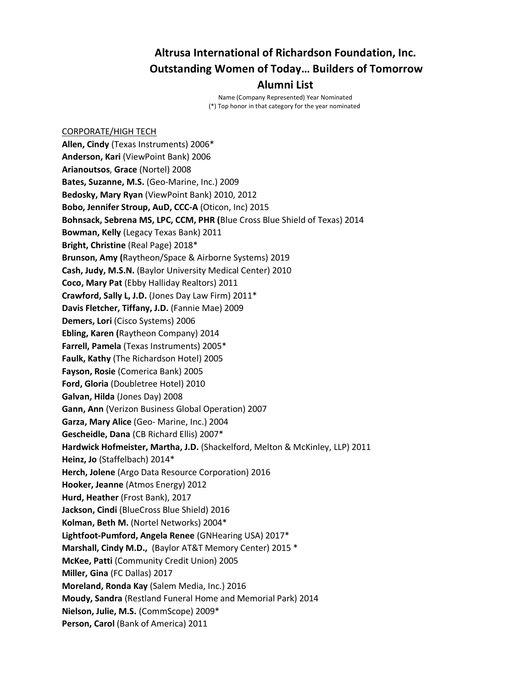# **Altrusa International of Richardson Foundation, Inc. Outstanding Women of Today… Builders of Tomorrow Alumni List**

Name (Company Represented) Year Nominated (\*) Top honor in that category for the year nominated

CORPORATE/HIGH TECH **Allen, Cindy** (Texas Instruments) 2006\* **Anderson, Kari** (ViewPoint Bank) 2006 **Arianoutsos**, **Grace** (Nortel) 2008 **Bates, Suzanne, M.S.** (Geo-Marine, Inc.) 2009 **Bedosky, Mary Ryan** (ViewPoint Bank) 2010, 2012 **Bobo, Jennifer Stroup, AuD, CCC-A** (Oticon, Inc) 2015 **Bohnsack, Sebrena MS, LPC, CCM, PHR (**Blue Cross Blue Shield of Texas) 2014 **Bowman, Kelly** (Legacy Texas Bank) 2011 **Bright, Christine** (Real Page) 2018\* **Brunson, Amy (**Raytheon/Space & Airborne Systems) 2019 **Cash, Judy, M.S.N.** (Baylor University Medical Center) 2010 **Coco, Mary Pat** (Ebby Halliday Realtors) 2011 **Crawford, Sally L, J.D.** (Jones Day Law Firm) 2011\* **Davis Fletcher, Tiffany, J.D.** (Fannie Mae) 2009 **Demers, Lori** (Cisco Systems) 2006 **Ebling, Karen (**Raytheon Company) 2014 **Farrell, Pamela** (Texas Instruments) 2005\* **Faulk, Kathy** (The Richardson Hotel) 2005 **Fayson, Rosie** (Comerica Bank) 2005 **Ford, Gloria** (Doubletree Hotel) 2010 **Galvan, Hilda** (Jones Day) 2008 **Gann, Ann** (Verizon Business Global Operation) 2007 **Garza, Mary Alice** (Geo- Marine, Inc.) 2004 **Gescheidle, Dana** (CB Richard Ellis) 2007\* **Hardwick Hofmeister, Martha, J.D.** (Shackelford, Melton & McKinley, LLP) 2011 **Heinz, Jo** (Staffelbach) 2014\* **Herch, Jolene** (Argo Data Resource Corporation) 2016 **Hooker, Jeanne** (Atmos Energy) 2012 **Hurd, Heather** (Frost Bank), 2017 **Jackson, Cindi** (BlueCross Blue Shield) 2016 **Kolman, Beth M.** (Nortel Networks) 2004\* **Lightfoot-Pumford, Angela Renee** (GNHearing USA) 2017\* **Marshall, Cindy M.D.,** (Baylor AT&T Memory Center) 2015 \* **McKee, Patti** (Community Credit Union) 2005 **Miller, Gina** (FC Dallas) 2017 **Moreland, Ronda Kay** (Salem Media, Inc.) 2016 **Moudy, Sandra** (Restland Funeral Home and Memorial Park) 2014 **Nielson, Julie, M.S.** (CommScope) 2009\* **Person, Carol** (Bank of America) 2011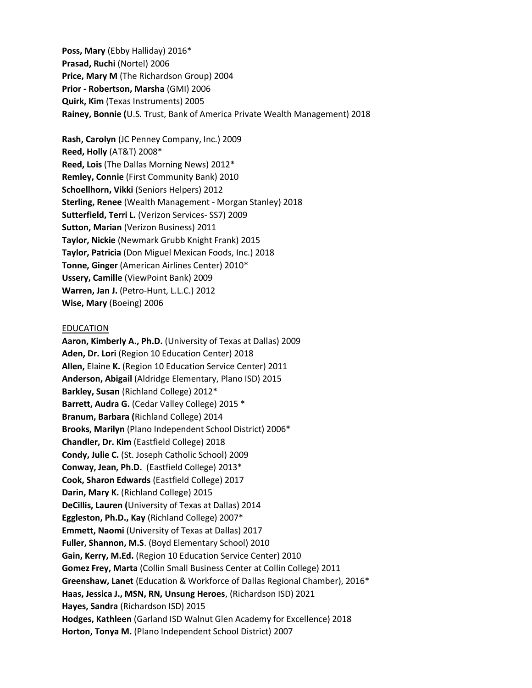**Poss, Mary** (Ebby Halliday) 2016\* **Prasad, Ruchi** (Nortel) 2006 **Price, Mary M** (The Richardson Group) 2004 **Prior - Robertson, Marsha** (GMI) 2006 **Quirk, Kim** (Texas Instruments) 2005 **Rainey, Bonnie (**U.S. Trust, Bank of America Private Wealth Management) 2018

**Rash, Carolyn** (JC Penney Company, Inc.) 2009 **Reed, Holly** (AT&T) 2008\* **Reed, Lois** (The Dallas Morning News) 2012\* **Remley, Connie** (First Community Bank) 2010 **Schoellhorn, Vikki** (Seniors Helpers) 2012 **Sterling, Renee** (Wealth Management - Morgan Stanley) 2018 **Sutterfield, Terri L.** (Verizon Services- SS7) 2009 **Sutton, Marian** (Verizon Business) 2011 **Taylor, Nickie** (Newmark Grubb Knight Frank) 2015 **Taylor, Patricia** (Don Miguel Mexican Foods, Inc.) 2018 **Tonne, Ginger** (American Airlines Center) 2010\* **Ussery, Camille** (ViewPoint Bank) 2009 **Warren, Jan J.** (Petro-Hunt, L.L.C.) 2012 **Wise, Mary** (Boeing) 2006

## **EDUCATION**

**Aaron, Kimberly A., Ph.D.** (University of Texas at Dallas) 2009 **Aden, Dr. Lori** (Region 10 Education Center) 2018 **Allen,** Elaine **K.** (Region 10 Education Service Center) 2011 **Anderson, Abigail** (Aldridge Elementary, Plano ISD) 2015 **Barkley, Susan** (Richland College) 2012\* **Barrett, Audra G.** (Cedar Valley College) 2015 \* **Branum, Barbara (**Richland College) 2014 **Brooks, Marilyn** (Plano Independent School District) 2006\* **Chandler, Dr. Kim** (Eastfield College) 2018 **Condy, Julie C.** (St. Joseph Catholic School) 2009 **Conway, Jean, Ph.D.** (Eastfield College) 2013\* **Cook, Sharon Edwards** (Eastfield College) 2017 **Darin, Mary K.** (Richland College) 2015 **DeCillis, Lauren (**University of Texas at Dallas) 2014 **Eggleston, Ph.D., Kay** (Richland College) 2007\* **Emmett, Naomi** (University of Texas at Dallas) 2017 **Fuller, Shannon, M.S**. (Boyd Elementary School) 2010 **Gain, Kerry, M.Ed.** (Region 10 Education Service Center) 2010 **Gomez Frey, Marta** (Collin Small Business Center at Collin College) 2011 **Greenshaw, Lanet** (Education & Workforce of Dallas Regional Chamber), 2016\* **Haas, Jessica J., MSN, RN, Unsung Heroes**, (Richardson ISD) 2021 **Hayes, Sandra** (Richardson ISD) 2015 **Hodges, Kathleen** (Garland ISD Walnut Glen Academy for Excellence) 2018 **Horton, Tonya M.** (Plano Independent School District) 2007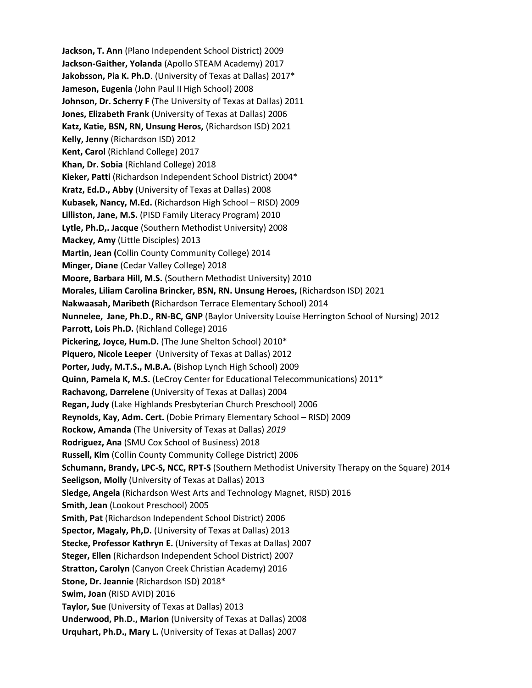**Jackson, T. Ann** (Plano Independent School District) 2009 **Jackson-Gaither, Yolanda** (Apollo STEAM Academy) 2017 **Jakobsson, Pia K. Ph.D**. (University of Texas at Dallas) 2017\* **Jameson, Eugenia** (John Paul II High School) 2008 **Johnson, Dr. Scherry F** (The University of Texas at Dallas) 2011 **Jones, Elizabeth Frank** (University of Texas at Dallas) 2006 **Katz, Katie, BSN, RN, Unsung Heros,** (Richardson ISD) 2021 **Kelly, Jenny** (Richardson ISD) 2012 **Kent, Carol** (Richland College) 2017 **Khan, Dr. Sobia** (Richland College) 2018 **Kieker, Patti** (Richardson Independent School District) 2004\* **Kratz, Ed.D., Abby** (University of Texas at Dallas) 2008 **Kubasek, Nancy, M.Ed.** (Richardson High School – RISD) 2009 **Lilliston, Jane, M.S.** (PISD Family Literacy Program) 2010 **Lytle, Ph.D,. Jacque** (Southern Methodist University) 2008 **Mackey, Amy** (Little Disciples) 2013 **Martin, Jean (**Collin County Community College) 2014 **Minger, Diane** (Cedar Valley College) 2018 **Moore, Barbara Hill, M.S.** (Southern Methodist University) 2010 **Morales, Liliam Carolina Brincker, BSN, RN. Unsung Heroes,** (Richardson ISD) 2021 **Nakwaasah, Maribeth (**Richardson Terrace Elementary School) 2014 **Nunnelee, Jane, Ph.D., RN-BC, GNP** (Baylor University Louise Herrington School of Nursing) 2012 **Parrott, Lois Ph.D.** (Richland College) 2016 **Pickering, Joyce, Hum.D.** (The June Shelton School) 2010\* **Piquero, Nicole Leeper** (University of Texas at Dallas) 2012 **Porter, Judy, M.T.S., M.B.A.** (Bishop Lynch High School) 2009 **Quinn, Pamela K, M.S.** (LeCroy Center for Educational Telecommunications) 2011\* **Rachavong, Darrelene** (University of Texas at Dallas) 2004 **Regan, Judy** (Lake Highlands Presbyterian Church Preschool) 2006 **Reynolds, Kay, Adm. Cert.** (Dobie Primary Elementary School – RISD) 2009 **Rockow, Amanda** (The University of Texas at Dallas) *2019* **Rodriguez, Ana** (SMU Cox School of Business) 2018 **Russell, Kim** (Collin County Community College District) 2006 **Schumann, Brandy, LPC-S, NCC, RPT-S** (Southern Methodist University Therapy on the Square) 2014 **Seeligson, Molly** (University of Texas at Dallas) 2013 **Sledge, Angela** (Richardson West Arts and Technology Magnet, RISD) 2016 **Smith, Jean** (Lookout Preschool) 2005 **Smith, Pat** (Richardson Independent School District) 2006 **Spector, Magaly, Ph,D.** (University of Texas at Dallas) 2013 **Stecke, Professor Kathryn E.** (University of Texas at Dallas) 2007 **Steger, Ellen** (Richardson Independent School District) 2007 **Stratton, Carolyn** (Canyon Creek Christian Academy) 2016 **Stone, Dr. Jeannie** (Richardson ISD) 2018\* **Swim, Joan** (RISD AVID) 2016 **Taylor, Sue** (University of Texas at Dallas) 2013 **Underwood, Ph.D., Marion** (University of Texas at Dallas) 2008 **Urquhart, Ph.D., Mary L.** (University of Texas at Dallas) 2007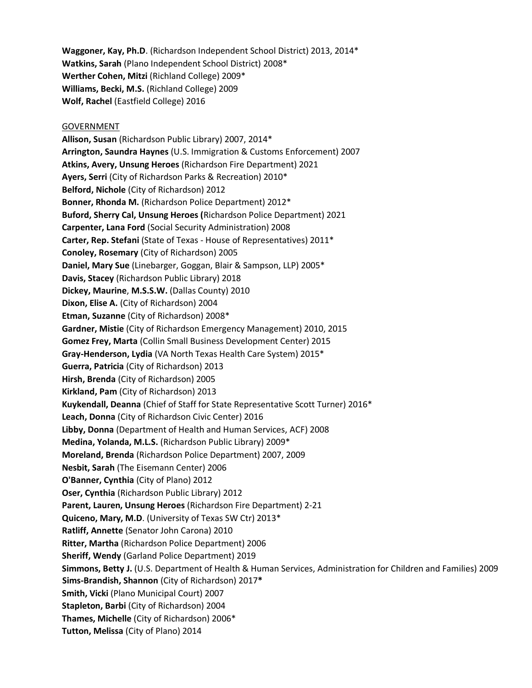**Waggoner, Kay, Ph.D**. (Richardson Independent School District) 2013, 2014\* **Watkins, Sarah** (Plano Independent School District) 2008\* **Werther Cohen, Mitzi** (Richland College) 2009\* **Williams, Becki, M.S.** (Richland College) 2009 **Wolf, Rachel** (Eastfield College) 2016

## GOVERNMENT

**Allison, Susan** (Richardson Public Library) 2007, 2014\* **Arrington, Saundra Haynes** (U.S. Immigration & Customs Enforcement) 2007 **Atkins, Avery, Unsung Heroes** (Richardson Fire Department) 2021 **Ayers, Serri** (City of Richardson Parks & Recreation) 2010\* **Belford, Nichole** (City of Richardson) 2012 **Bonner, Rhonda M.** (Richardson Police Department) 2012\* **Buford, Sherry Cal, Unsung Heroes (**Richardson Police Department) 2021 **Carpenter, Lana Ford** (Social Security Administration) 2008 **Carter, Rep. Stefani** (State of Texas - House of Representatives) 2011\* **Conoley, Rosemary** (City of Richardson) 2005 **Daniel, Mary Sue** (Linebarger, Goggan, Blair & Sampson, LLP) 2005\* **Davis, Stacey** (Richardson Public Library) 2018 **Dickey, Maurine**, **M.S.S.W.** (Dallas County) 2010 **Dixon, Elise A.** (City of Richardson) 2004 **Etman, Suzanne** (City of Richardson) 2008\* **Gardner, Mistie** (City of Richardson Emergency Management) 2010, 2015 **Gomez Frey, Marta** (Collin Small Business Development Center) 2015 **Gray-Henderson, Lydia** (VA North Texas Health Care System) 2015\* **Guerra, Patricia** (City of Richardson) 2013 **Hirsh, Brenda** (City of Richardson) 2005 **Kirkland, Pam** (City of Richardson) 2013 **Kuykendall, Deanna** (Chief of Staff for State Representative Scott Turner) 2016\* **Leach, Donna** (City of Richardson Civic Center) 2016 **Libby, Donna** (Department of Health and Human Services, ACF) 2008 **Medina, Yolanda, M.L.S.** (Richardson Public Library) 2009\* **Moreland, Brenda** (Richardson Police Department) 2007, 2009 **Nesbit, Sarah** (The Eisemann Center) 2006 **O'Banner, Cynthia** (City of Plano) 2012 **Oser, Cynthia** (Richardson Public Library) 2012 **Parent, Lauren, Unsung Heroes** (Richardson Fire Department) 2-21 **Quiceno, Mary, M.D**. (University of Texas SW Ctr) 2013\* **Ratliff, Annette** (Senator John Carona) 2010 **Ritter, Martha** (Richardson Police Department) 2006 **Sheriff, Wendy** (Garland Police Department) 2019 **Simmons, Betty J.** (U.S. Department of Health & Human Services, Administration for Children and Families) 2009 **Sims-Brandish, Shannon** (City of Richardson) 2017**\* Smith, Vicki** (Plano Municipal Court) 2007 **Stapleton, Barbi** (City of Richardson) 2004 **Thames, Michelle** (City of Richardson) 2006\* **Tutton, Melissa** (City of Plano) 2014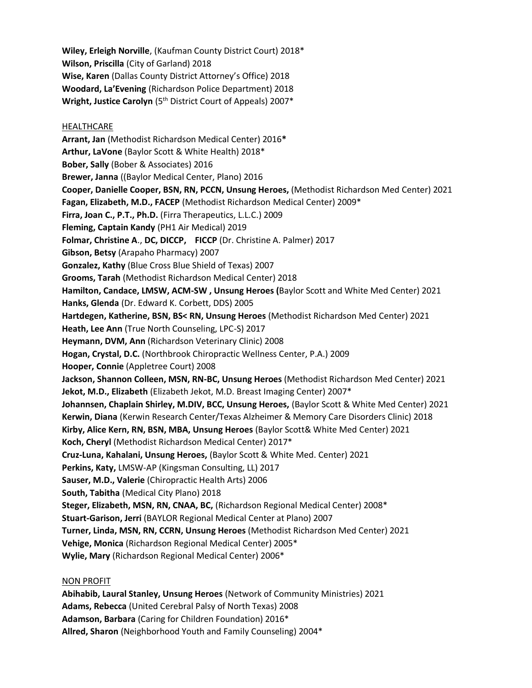**Wiley, Erleigh Norville**, (Kaufman County District Court) 2018\* **Wilson, Priscilla** (City of Garland) 2018 **Wise, Karen** (Dallas County District Attorney's Office) 2018 **Woodard, La'Evening** (Richardson Police Department) 2018 **Wright, Justice Carolyn** (5th District Court of Appeals) 2007\*

## **HEALTHCARE**

**Arrant, Jan** (Methodist Richardson Medical Center) 2016**\* Arthur, LaVone** (Baylor Scott & White Health) 2018\* **Bober, Sally** (Bober & Associates) 2016 **Brewer, Janna** ((Baylor Medical Center, Plano) 2016 **Cooper, Danielle Cooper, BSN, RN, PCCN, Unsung Heroes,** (Methodist Richardson Med Center) 2021 **Fagan, Elizabeth, M.D., FACEP** (Methodist Richardson Medical Center) 2009\* **Firra, Joan C., P.T., Ph.D.** (Firra Therapeutics, L.L.C.) 2009 **Fleming, Captain Kandy** (PH1 Air Medical) 2019 **Folmar, Christine A**., **DC, DICCP, FICCP** (Dr. Christine A. Palmer) 2017 **Gibson, Betsy** (Arapaho Pharmacy) 2007 **Gonzalez, Kathy** (Blue Cross Blue Shield of Texas) 2007 **Grooms, Tarah** (Methodist Richardson Medical Center) 2018 **Hamilton, Candace, LMSW, ACM-SW , Unsung Heroes (**Baylor Scott and White Med Center) 2021 **Hanks, Glenda** (Dr. Edward K. Corbett, DDS) 2005 **Hartdegen, Katherine, BSN, BS< RN, Unsung Heroes** (Methodist Richardson Med Center) 2021 **Heath, Lee Ann** (True North Counseling, LPC-S) 2017 **Heymann, DVM, Ann** (Richardson Veterinary Clinic) 2008 **Hogan, Crystal, D.C.** (Northbrook Chiropractic Wellness Center, P.A.) 2009 **Hooper, Connie** (Appletree Court) 2008 **Jackson, Shannon Colleen, MSN, RN-BC, Unsung Heroes** (Methodist Richardson Med Center) 2021 **Jekot, M.D., Elizabeth** (Elizabeth Jekot, M.D. Breast Imaging Center) 2007\* **Johannsen, Chaplain Shirley, M.DIV, BCC, Unsung Heroes,** (Baylor Scott & White Med Center) 2021 **Kerwin, Diana** (Kerwin Research Center/Texas Alzheimer & Memory Care Disorders Clinic) 2018 **Kirby, Alice Kern, RN, BSN, MBA, Unsung Heroes** (Baylor Scott& White Med Center) 2021 **Koch, Cheryl** (Methodist Richardson Medical Center) 2017\* **Cruz-Luna, Kahalani, Unsung Heroes,** (Baylor Scott & White Med. Center) 2021 **Perkins, Katy,** LMSW-AP (Kingsman Consulting, LL) 2017 **Sauser, M.D., Valerie** (Chiropractic Health Arts) 2006 **South, Tabitha** (Medical City Plano) 2018 **Steger, Elizabeth, MSN, RN, CNAA, BC,** (Richardson Regional Medical Center) 2008\* **Stuart-Garison, Jerri** (BAYLOR Regional Medical Center at Plano) 2007 **Turner, Linda, MSN, RN, CCRN, Unsung Heroes** (Methodist Richardson Med Center) 2021 **Vehige, Monica** (Richardson Regional Medical Center) 2005\* **Wylie, Mary** (Richardson Regional Medical Center) 2006\*

## NON PROFIT

**Abihabib, Laural Stanley, Unsung Heroes** (Network of Community Ministries) 2021 **Adams, Rebecca** (United Cerebral Palsy of North Texas) 2008 **Adamson, Barbara** (Caring for Children Foundation) 2016\* **Allred, Sharon** (Neighborhood Youth and Family Counseling) 2004\*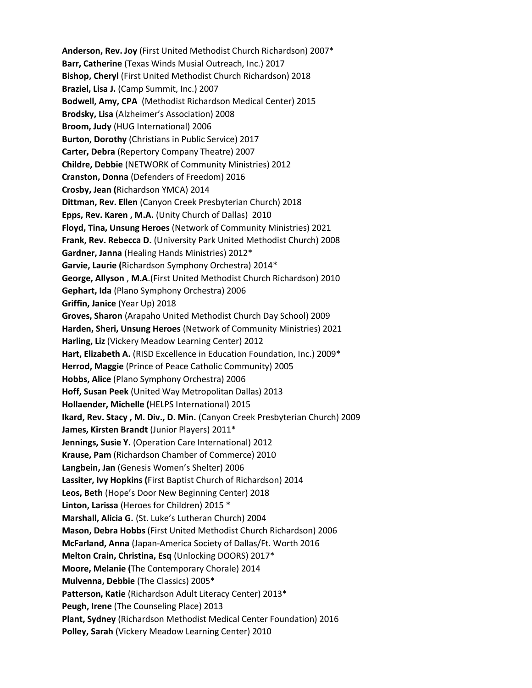**Anderson, Rev. Joy** (First United Methodist Church Richardson) 2007\* **Barr, Catherine** (Texas Winds Musial Outreach, Inc.) 2017 **Bishop, Cheryl** (First United Methodist Church Richardson) 2018 **Braziel, Lisa J.** (Camp Summit, Inc.) 2007 **Bodwell, Amy, CPA** (Methodist Richardson Medical Center) 2015 **Brodsky, Lisa** (Alzheimer's Association) 2008 **Broom, Judy** (HUG International) 2006 **Burton, Dorothy** (Christians in Public Service) 2017 **Carter, Debra** (Repertory Company Theatre) 2007 **Childre, Debbie** (NETWORK of Community Ministries) 2012 **Cranston, Donna** (Defenders of Freedom) 2016 **Crosby, Jean (**Richardson YMCA) 2014 **Dittman, Rev. Ellen** (Canyon Creek Presbyterian Church) 2018 **Epps, Rev. Karen , M.A.** (Unity Church of Dallas) 2010 **Floyd, Tina, Unsung Heroes** (Network of Community Ministries) 2021 **Frank, Rev. Rebecca D.** (University Park United Methodist Church) 2008 **Gardner, Janna** (Healing Hands Ministries) 2012\* **Garvie, Laurie (**Richardson Symphony Orchestra) 2014\* **George, Allyson** , **M.A**.(First United Methodist Church Richardson) 2010 **Gephart, Ida** (Plano Symphony Orchestra) 2006 **Griffin, Janice** (Year Up) 2018 **Groves, Sharon** (Arapaho United Methodist Church Day School) 2009 **Harden, Sheri, Unsung Heroes** (Network of Community Ministries) 2021 **Harling, Liz** (Vickery Meadow Learning Center) 2012 Hart, Elizabeth A. (RISD Excellence in Education Foundation, Inc.) 2009<sup>\*</sup> **Herrod, Maggie** (Prince of Peace Catholic Community) 2005 **Hobbs, Alice** (Plano Symphony Orchestra) 2006 **Hoff, Susan Peek** (United Way Metropolitan Dallas) 2013 **Hollaender, Michelle (**HELPS International) 2015 **Ikard, Rev. Stacy , M. Div., D. Min.** (Canyon Creek Presbyterian Church) 2009 **James, Kirsten Brandt** (Junior Players) 2011\* **Jennings, Susie Y.** (Operation Care International) 2012 **Krause, Pam** (Richardson Chamber of Commerce) 2010 **Langbein, Jan** (Genesis Women's Shelter) 2006 **Lassiter, Ivy Hopkins (**First Baptist Church of Richardson) 2014 **Leos, Beth** (Hope's Door New Beginning Center) 2018 **Linton, Larissa** (Heroes for Children) 2015 \* **Marshall, Alicia G.** (St. Luke's Lutheran Church) 2004 **Mason, Debra Hobbs** (First United Methodist Church Richardson) 2006 **McFarland, Anna** (Japan-America Society of Dallas/Ft. Worth 2016 **Melton Crain, Christina, Esq** (Unlocking DOORS) 2017\* **Moore, Melanie (**The Contemporary Chorale) 2014 **Mulvenna, Debbie** (The Classics) 2005\* **Patterson, Katie** (Richardson Adult Literacy Center) 2013\* **Peugh, Irene** (The Counseling Place) 2013 **Plant, Sydney** (Richardson Methodist Medical Center Foundation) 2016 **Polley, Sarah** (Vickery Meadow Learning Center) 2010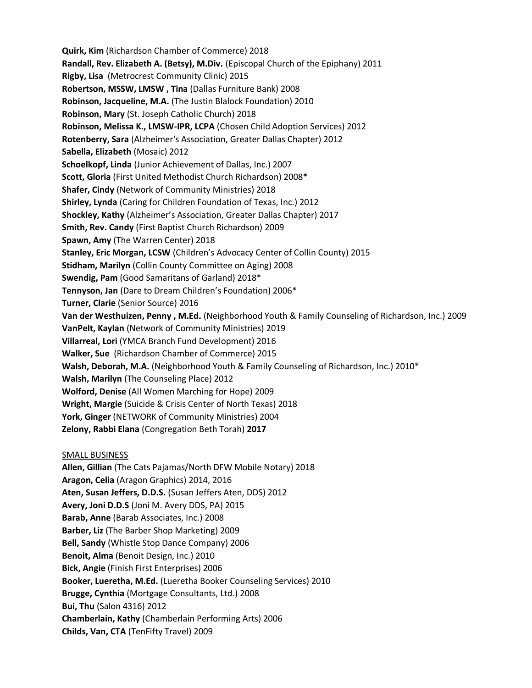**Quirk, Kim** (Richardson Chamber of Commerce) 2018 **Randall, Rev. Elizabeth A. (Betsy), M.Div.** (Episcopal Church of the Epiphany) 2011 **Rigby, Lisa** (Metrocrest Community Clinic) 2015 **Robertson, MSSW, LMSW , Tina** (Dallas Furniture Bank) 2008 **Robinson, Jacqueline, M.A.** (The Justin Blalock Foundation) 2010 **Robinson, Mary** (St. Joseph Catholic Church) 2018 **Robinson, Melissa K., LMSW-IPR, LCPA** (Chosen Child Adoption Services) 2012 **Rotenberry, Sara** (Alzheimer's Association, Greater Dallas Chapter) 2012 **Sabella, Elizabeth** (Mosaic) 2012 **Schoelkopf, Linda** (Junior Achievement of Dallas, Inc.) 2007 **Scott, Gloria** (First United Methodist Church Richardson) 2008\* **Shafer, Cindy** (Network of Community Ministries) 2018 **Shirley, Lynda** (Caring for Children Foundation of Texas, Inc.) 2012 **Shockley, Kathy** (Alzheimer's Association, Greater Dallas Chapter) 2017 **Smith, Rev. Candy** (First Baptist Church Richardson) 2009 **Spawn, Amy** (The Warren Center) 2018 **Stanley, Eric Morgan, LCSW** (Children's Advocacy Center of Collin County) 2015 **Stidham, Marilyn** (Collin County Committee on Aging) 2008 **Swendig, Pam** (Good Samaritans of Garland) 2018\* **Tennyson, Jan** (Dare to Dream Children's Foundation) 2006\* **Turner, Clarie** (Senior Source) 2016 **Van der Westhuizen, Penny , M.Ed.** (Neighborhood Youth & Family Counseling of Richardson, Inc.) 2009 **VanPelt, Kaylan** (Network of Community Ministries) 2019 **Villarreal, Lori** (YMCA Branch Fund Development) 2016 **Walker, Sue** (Richardson Chamber of Commerce) 2015 **Walsh, Deborah, M.A.** (Neighborhood Youth & Family Counseling of Richardson, Inc.) 2010\* **Walsh, Marilyn** (The Counseling Place) 2012 **Wolford, Denise** (All Women Marching for Hope) 2009 **Wright, Margie** (Suicide & Crisis Center of North Texas) 2018 **York, Ginger** (NETWORK of Community Ministries) 2004 **Zelony, Rabbi Elana** (Congregation Beth Torah) **2017**  SMALL BUSINESS **Allen, Gillian** (The Cats Pajamas/North DFW Mobile Notary) 2018 **Aragon, Celia** (Aragon Graphics) 2014, 2016 **Aten, Susan Jeffers, D.D.S.** (Susan Jeffers Aten, DDS) 2012 **Avery, Joni D.D.S** (Joni M. Avery DDS, PA) 2015 **Barab, Anne** (Barab Associates, Inc.) 2008 **Barber, Liz** (The Barber Shop Marketing) 2009 **Bell, Sandy** (Whistle Stop Dance Company) 2006 **Benoit, Alma** (Benoit Design, Inc.) 2010

**Bick, Angie** (Finish First Enterprises) 2006

**Booker, Lueretha, M.Ed.** (Lueretha Booker Counseling Services) 2010

**Brugge, Cynthia** (Mortgage Consultants, Ltd.) 2008

**Bui, Thu** (Salon 4316) 2012

**Chamberlain, Kathy** (Chamberlain Performing Arts) 2006

**Childs, Van, CTA** (TenFifty Travel) 2009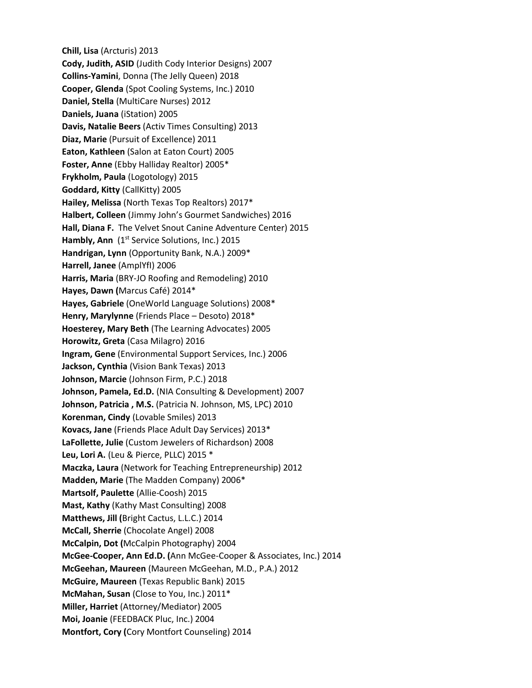**Chill, Lisa** (Arcturis) 2013 **Cody, Judith, ASID** (Judith Cody Interior Designs) 2007 **Collins-Yamini**, Donna (The Jelly Queen) 2018 **Cooper, Glenda** (Spot Cooling Systems, Inc.) 2010 **Daniel, Stella** (MultiCare Nurses) 2012 **Daniels, Juana** (iStation) 2005 **Davis, Natalie Beers** (Activ Times Consulting) 2013 **Diaz, Marie** (Pursuit of Excellence) 2011 **Eaton, Kathleen** (Salon at Eaton Court) 2005 **Foster, Anne** (Ebby Halliday Realtor) 2005\* **Frykholm, Paula** (Logotology) 2015 **Goddard, Kitty** (CallKitty) 2005 **Hailey, Melissa** (North Texas Top Realtors) 2017\* **Halbert, Colleen** (Jimmy John's Gourmet Sandwiches) 2016 **Hall, Diana F.** The Velvet Snout Canine Adventure Center) 2015 Hambly, Ann (1<sup>st</sup> Service Solutions, Inc.) 2015 **Handrigan, Lynn** (Opportunity Bank, N.A.) 2009\* **Harrell, Janee** (AmplYfI) 2006 **Harris, Maria** (BRY-JO Roofing and Remodeling) 2010 **Hayes, Dawn (**Marcus Café) 2014\* **Hayes, Gabriele** (OneWorld Language Solutions) 2008\* **Henry, Marylynne** (Friends Place – Desoto) 2018\* **Hoesterey, Mary Beth** (The Learning Advocates) 2005 **Horowitz, Greta** (Casa Milagro) 2016 **Ingram, Gene** (Environmental Support Services, Inc.) 2006 **Jackson, Cynthia** (Vision Bank Texas) 2013 **Johnson, Marcie** (Johnson Firm, P.C.) 2018 **Johnson, Pamela, Ed.D.** (NIA Consulting & Development) 2007 **Johnson, Patricia , M.S.** (Patricia N. Johnson, MS, LPC) 2010 **Korenman, Cindy** (Lovable Smiles) 2013 **Kovacs, Jane** (Friends Place Adult Day Services) 2013\* **LaFollette, Julie** (Custom Jewelers of Richardson) 2008 **Leu, Lori A.** (Leu & Pierce, PLLC) 2015 \* **Maczka, Laura** (Network for Teaching Entrepreneurship) 2012 **Madden, Marie** (The Madden Company) 2006\* **Martsolf, Paulette** (Allie-Coosh) 2015 **Mast, Kathy** (Kathy Mast Consulting) 2008 **Matthews, Jill (**Bright Cactus, L.L.C.) 2014 **McCall, Sherrie** (Chocolate Angel) 2008 **McCalpin, Dot (**McCalpin Photography) 2004 **McGee-Cooper, Ann Ed.D. (**Ann McGee-Cooper & Associates, Inc.) 2014 **McGeehan, Maureen** (Maureen McGeehan, M.D., P.A.) 2012 **McGuire, Maureen** (Texas Republic Bank) 2015 **McMahan, Susan** (Close to You, Inc.) 2011\* **Miller, Harriet** (Attorney/Mediator) 2005 **Moi, Joanie** (FEEDBACK Pluc, Inc.) 2004 **Montfort, Cory (**Cory Montfort Counseling) 2014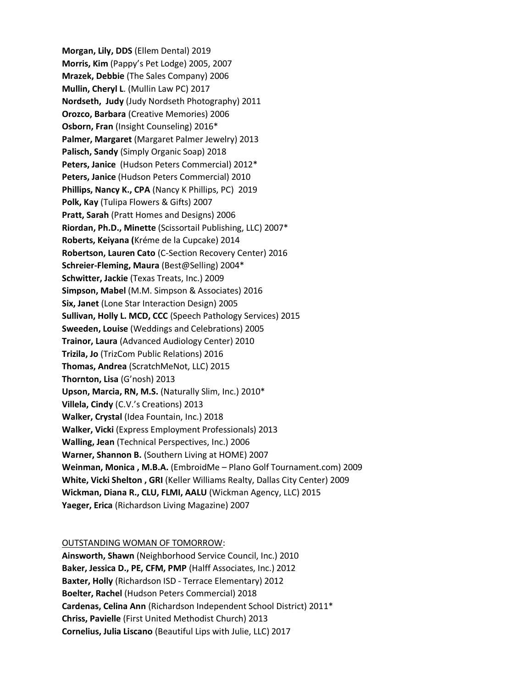**Morgan, Lily, DDS** (Ellem Dental) 2019 **Morris, Kim** (Pappy's Pet Lodge) 2005, 2007 **Mrazek, Debbie** (The Sales Company) 2006 **Mullin, Cheryl L**. (Mullin Law PC) 2017 **Nordseth, Judy** (Judy Nordseth Photography) 2011 **Orozco, Barbara** (Creative Memories) 2006 **Osborn, Fran** (Insight Counseling) 2016\* **Palmer, Margaret** (Margaret Palmer Jewelry) 2013 **Palisch, Sandy** (Simply Organic Soap) 2018 **Peters, Janice** (Hudson Peters Commercial) 2012\* **Peters, Janice** (Hudson Peters Commercial) 2010 **Phillips, Nancy K., CPA** (Nancy K Phillips, PC) 2019 **Polk, Kay** (Tulipa Flowers & Gifts) 2007 **Pratt, Sarah** (Pratt Homes and Designs) 2006 **Riordan, Ph.D., Minette** (Scissortail Publishing, LLC) 2007\* **Roberts, Keiyana (**Kréme de la Cupcake) 2014 **Robertson, Lauren Cato** (C-Section Recovery Center) 2016 **Schreier-Fleming, Maura** (Best@Selling) 2004\* **Schwitter, Jackie** (Texas Treats, Inc.) 2009 **Simpson, Mabel** (M.M. Simpson & Associates) 2016 **Six, Janet** (Lone Star Interaction Design) 2005 **Sullivan, Holly L. MCD, CCC** (Speech Pathology Services) 2015 **Sweeden, Louise** (Weddings and Celebrations) 2005 **Trainor, Laura** (Advanced Audiology Center) 2010 **Trizila, Jo** (TrizCom Public Relations) 2016 **Thomas, Andrea** (ScratchMeNot, LLC) 2015 **Thornton, Lisa** (G'nosh) 2013 **Upson, Marcia, RN, M.S.** (Naturally Slim, Inc.) 2010\* **Villela, Cindy** (C.V.'s Creations) 2013 **Walker, Crystal** (Idea Fountain, Inc.) 2018 **Walker, Vicki** (Express Employment Professionals) 2013 **Walling, Jean** (Technical Perspectives, Inc.) 2006 **Warner, Shannon B.** (Southern Living at HOME) 2007 **Weinman, Monica , M.B.A.** (EmbroidMe – Plano Golf Tournament.com) 2009 **White, Vicki Shelton , GRI** (Keller Williams Realty, Dallas City Center) 2009 **Wickman, Diana R., CLU, FLMI, AALU** (Wickman Agency, LLC) 2015 **Yaeger, Erica** (Richardson Living Magazine) 2007

## OUTSTANDING WOMAN OF TOMORROW:

**Ainsworth, Shawn** (Neighborhood Service Council, Inc.) 2010 **Baker, Jessica D., PE, CFM, PMP** (Halff Associates, Inc.) 2012 **Baxter, Holly** (Richardson ISD - Terrace Elementary) 2012 **Boelter, Rachel** (Hudson Peters Commercial) 2018 **Cardenas, Celina Ann** (Richardson Independent School District) 2011\* **Chriss, Pavielle** (First United Methodist Church) 2013 **Cornelius, Julia Liscano** (Beautiful Lips with Julie, LLC) 2017